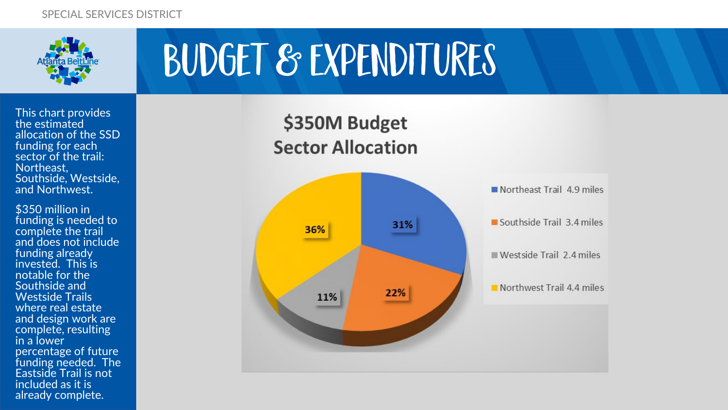

This chart provides the estimated allocation of the SSD funding for each sector of the trail: Northeast, Southside, Westside, and Northwest.

\$350 million in funding is needed to complete the trail and does not include funding already invested. This is notable for the Southside and Westside Trails where real estate and design work are complete, resulting in a lower percentage of future funding needed. The Eastside Trail is not included as it is already complete.

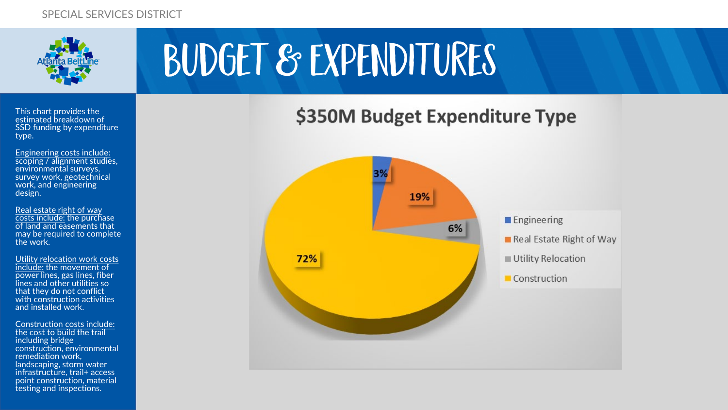

#### \$350M Budget Expenditure Type



This chart provides the estimated breakdown of SSD funding by expenditure type.

Engineering costs include: scoping / alignment studies, environmental surveys, survey work, geotechnical work, and engineering design.

Real estate right of way costs include: the purchase of land and easements that may be required to complete the work.

Utility relocation work costs include: the movement of power lines, gas lines, fiber lines and other utilities so that they do not conflict with construction activities and installed work.

Construction costs include: the cost to build the trail including bridge construction, environmental remediation work, landscaping, storm water infrastructure, trail+ access point construction, material testing and inspections.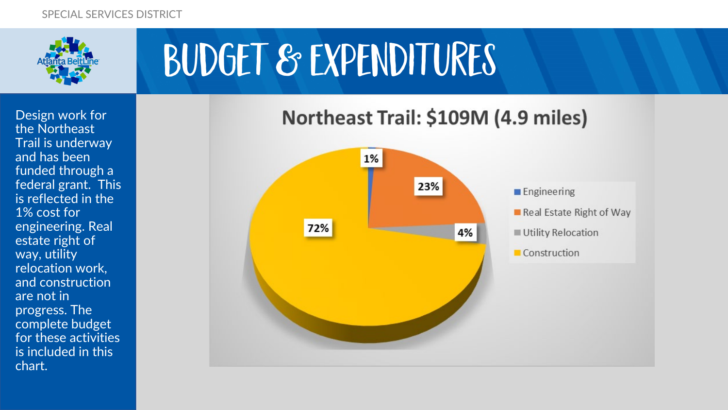

Design work for the Northeast Trail is underway and has been funded through a federal grant. This is reflected in the 1% cost for engineering. Real estate right of way, utility relocation work, and construction are not in progress. The complete budget for these activities is included in this chart.



### Northeast Trail: \$109M (4.9 miles)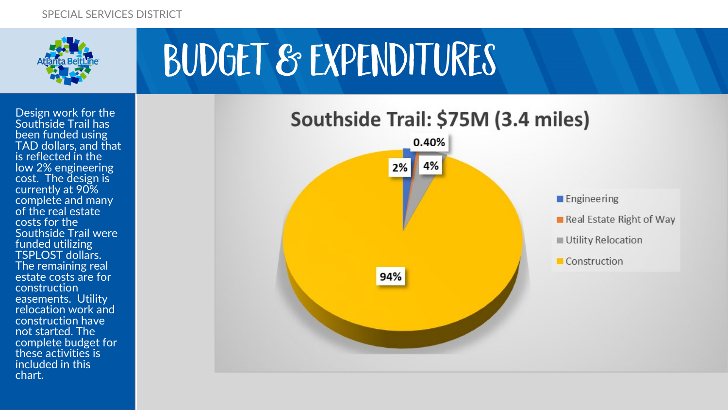

Design work for the Southside Trail has been funded using TAD dollars, and that is reflected in the low 2% engineering cost. The design is currently at 90% complete and many of the real estate costs for the Southside Trail were funded utilizing TSPLOST dollars. The remaining real estate costs are for construction easements. Utility relocation work and construction have not started. The complete budget for these activities is included in this chart.

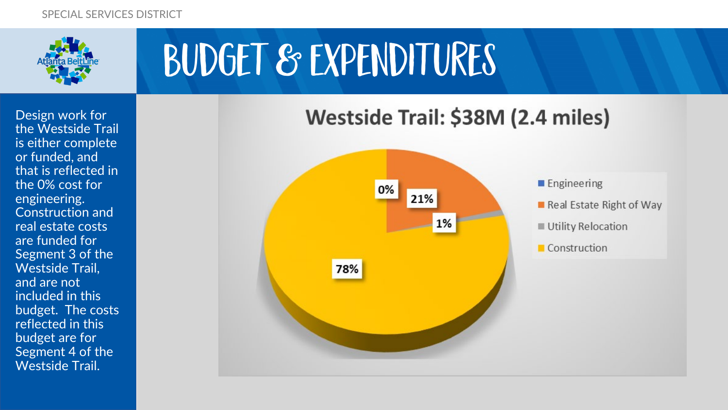

Design work for the Westside Trail is either complete or funded, and that is reflected in the 0% cost for engineering. Construction and real estate costs are funded for Segment 3 of the Westside Trail, and are not included in this budget. The costs reflected in this budget are for Segment 4 of the Westside Trail.

### Westside Trail: \$38M (2.4 miles)